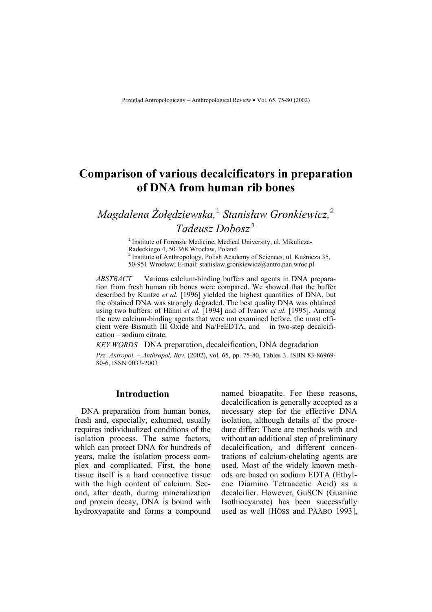# **Comparison of various decalcificators in preparation of DNA from human rib bones**

# *Magdalena Żołędziewska,*<sup>1</sup>  *Stanisław Gronkiewicz,*<sup>2</sup> *Tadeusz Dobosz* <sup>1</sup>

 $<sup>1</sup>$  Institute of Forensic Medicine, Medical University, ul. Mikulicza-Radeckiego 4, 50-368 Wrocław, Poland</sup> <sup>2</sup> Institute of Anthropology, Polish Academy of Sciences, ul. Kuźnicza 35, 50-951 Wrocław; E-mail: stanislaw.gronkiewicz@antro.pan.wroc.pl

*ABSTRACT* Various calcium-binding buffers and agents in DNA preparation from fresh human rib bones were compared. We showed that the buffer described by Kuntze *et al.* [1996] yielded the highest quantities of DNA, but the obtained DNA was strongly degraded. The best quality DNA was obtained using two buffers: of Hänni *et al.* [1994] and of Ivanov *et al.* [1995]. Among the new calcium-binding agents that were not examined before, the most efficient were Bismuth III Oxide and Na/FeEDTA, and – in two-step decalcification – sodium citrate.

*KEY WORDS* DNA preparation, decalcification, DNA degradation *Prz. Antropol. – Anthropol. Rev.* (2002), vol. 65, pp. 75-80, Tables 3. ISBN 83-86969- 80-6, ISSN 0033-2003

## **Introduction**

DNA preparation from human bones, fresh and, especially, exhumed, usually requires individualized conditions of the isolation process. The same factors, which can protect DNA for hundreds of years, make the isolation process complex and complicated. First, the bone tissue itself is a hard connective tissue with the high content of calcium. Second, after death, during mineralization and protein decay, DNA is bound with hydroxyapatite and forms a compound named bioapatite. For these reasons, decalcification is generally accepted as a necessary step for the effective DNA isolation, although details of the procedure differ: There are methods with and without an additional step of preliminary decalcification, and different concentrations of calcium-chelating agents are used. Most of the widely known methods are based on sodium EDTA (Ethylene Diamino Tetraacetic Acid) as a decalcifier. However, GuSCN (Guanine Isothiocyanate) has been successfully used as well [HÖSS and PÄÄBO 1993],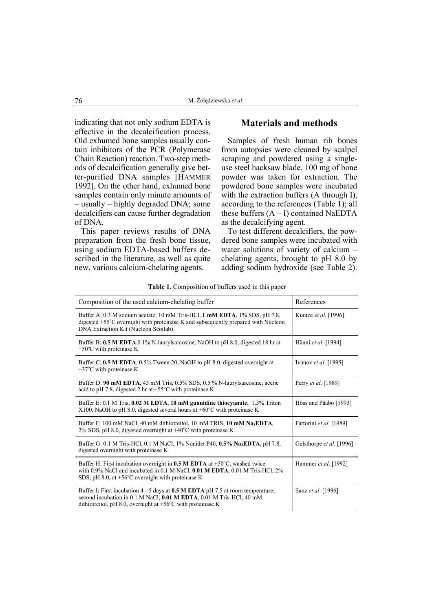indicating that not only sodium EDTA is effective in the decalcification process. Old exhumed bone samples usually contain inhibitors of the PCR (Polymerase Chain Reaction) reaction. Two-step methods of decalcification generally give better-purified DNA samples [HAMMER 1992]. On the other hand, exhumed bone samples contain only minute amounts of – usually – highly degraded DNA; some decalcifiers can cause further degradation of DNA.

This paper reviews results of DNA preparation from the fresh bone tissue, using sodium EDTA-based buffers described in the literature, as well as quite new, various calcium-chelating agents.

### **Materials and methods**

Samples of fresh human rib bones from autopsies were cleaned by scalpel scraping and powdered using a singleuse steel hacksaw blade. 100 mg of bone powder was taken for extraction. The powdered bone samples were incubated with the extraction buffers (A through I), according to the references (Table 1); all these buffers  $(A - I)$  contained NaEDTA as the decalcifying agent.

To test different decalcifiers, the powdered bone samples were incubated with water solutions of variety of calcium – chelating agents, brought to pH 8.0 by adding sodium hydroxide (see Table 2).

| Composition of the used calcium-chelating buffer                                                                                                                                                                                 | References               |
|----------------------------------------------------------------------------------------------------------------------------------------------------------------------------------------------------------------------------------|--------------------------|
| Buffer A: 0.3 M sodium acetate, 10 mM Tris-HCl, 1 mM EDTA, 1% SDS, pH 7.8,<br>digested $+55^{\circ}$ C overnight with proteinase K and subsequently prepared with Nucleon<br>DNA Extraction Kit (Nucleon Scotlab)                | Kuntze et al. [1996]     |
| Buffer B: 0.5 M EDTA, 0.1% N-laurylsarcosine, NaOH to pH 8.0, digested 18 hr at<br>$+50^{\circ}$ C with proteinase K                                                                                                             | Hänni et al. [1994]      |
| Buffer C: 0.5 M EDTA, 0.5% Tween 20, NaOH to pH 8.0, digested overnight at<br>$+37^{\circ}$ C with proteinase K                                                                                                                  | Ivanov et al. [1995]     |
| Buffer D: 90 mM EDTA, 45 mM Tris, 0.5% SDS, 0.5 % N-laurylsarcosine, acetic<br>acid to pH 7.8, digested 2 hr at $+55^{\circ}$ C with proteinase K                                                                                | Perry et al. [1989]      |
| Buffer E: 0.1 M Tris, 0.02 M EDTA, 10 mM guanidine thiocyanate, 1.3% Triton<br>X100, NaOH to pH 8.0, digested several hours at +60°C with proteinase K                                                                           | Höss and Pääbo [1993]    |
| Buffer F: 100 mM NaCl, 40 mM dithiotreitol, 10 mM TRIS, 10 mM Na <sub>2</sub> EDTA,<br>2% SDS, pH 8.0, digested overnight at $+40^{\circ}$ C with proteinase K                                                                   | Fattorini et al. [1989]  |
| Buffer G: 0.1 M Tris-HCl, 0.1 M NaCl, 1% Nonidet P40, 0.5% Na <sub>2</sub> EDTA, pH 7.8,<br>digested overnight with proteinase K                                                                                                 | Gelsthorpe et al. [1996] |
| Buffer H: First incubation overnight in 0.5 M EDTA at +50°C, washed twice<br>with 0.9% NaCl and incubated in 0.1 M NaCl, 0.01 M EDTA, 0.01 M Tris-HCl, 2%<br>SDS, pH 8.0, at $+56^{\circ}$ C overnight with proteinase K         | Hammer et al. [1992]     |
| Buffer I: First incubation 4 - 5 days at 0.5 M EDTA pH 7.5 at room temperature;<br>second incubation in 0.1 M NaCl, 0.01 M EDTA, 0.01 M Tris-HCl, 40 mM<br>dithiotreitol, pH 8.0, overnight at $+56^{\circ}$ C with proteinase K | Sanz et al. [1996]       |

**Table 1.** Composition of buffers used in this paper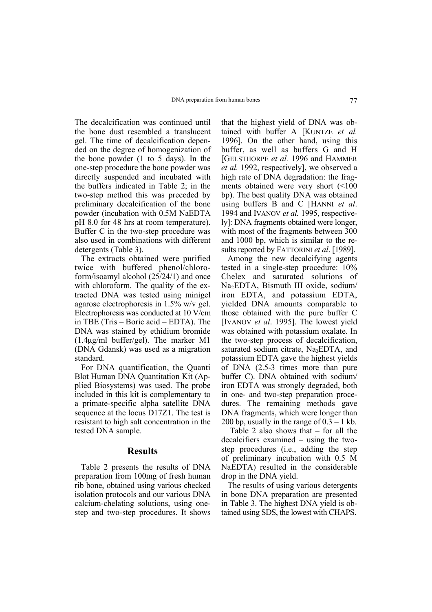The decalcification was continued until the bone dust resembled a translucent gel. The time of decalcification depended on the degree of homogenization of the bone powder (1 to 5 days). In the one-step procedure the bone powder was directly suspended and incubated with the buffers indicated in Table 2; in the two-step method this was preceded by preliminary decalcification of the bone powder (incubation with 0.5M NaEDTA pH 8.0 for 48 hrs at room temperature). Buffer C in the two-step procedure was also used in combinations with different detergents (Table 3).

The extracts obtained were purified twice with buffered phenol/chloroform/isoamyl alcohol (25/24/1) and once with chloroform. The quality of the extracted DNA was tested using minigel agarose electrophoresis in 1.5% w/v gel. Electrophoresis was conducted at 10 V/cm in TBE (Tris – Boric acid – EDTA). The DNA was stained by ethidium bromide (1.4µg/ml buffer/gel). The marker M1 (DNA Gdansk) was used as a migration standard.

For DNA quantification, the Quanti Blot Human DNA Quantitation Kit (Applied Biosystems) was used. The probe included in this kit is complementary to a primate-specific alpha satellite DNA sequence at the locus D17Z1. The test is resistant to high salt concentration in the tested DNA sample.

#### **Results**

Table 2 presents the results of DNA preparation from 100mg of fresh human rib bone, obtained using various checked isolation protocols and our various DNA calcium-chelating solutions, using onestep and two-step procedures. It shows

that the highest yield of DNA was obtained with buffer A [KUNTZE *et al.* 1996]. On the other hand, using this buffer, as well as buffers G and H [GELSTHORPE *et al.* 1996 and HAMMER *et al.* 1992, respectively], we observed a high rate of DNA degradation: the fragments obtained were very short (<100 bp). The best quality DNA was obtained using buffers B and C [HANNI *et al*. 1994 and IVANOV *et al.* 1995, respectively]: DNA fragments obtained were longer, with most of the fragments between 300 and 1000 bp, which is similar to the results reported by FATTORINI *et al*. [1989].

Among the new decalcifying agents tested in a single-step procedure: 10% Chelex and saturated solutions of Na<sub>2</sub>EDTA, Bismuth III oxide, sodium/ iron EDTA, and potassium EDTA, yielded DNA amounts comparable to those obtained with the pure buffer C [IVANOV *et al*. 1995]. The lowest yield was obtained with potassium oxalate. In the two-step process of decalcification, saturated sodium citrate, Na<sub>2</sub>EDTA, and potassium EDTA gave the highest yields of DNA (2.5-3 times more than pure buffer C). DNA obtained with sodium/ iron EDTA was strongly degraded, both in one- and two-step preparation procedures. The remaining methods gave DNA fragments, which were longer than 200 bp, usually in the range of  $0.3 - 1$  kb.

 Table 2 also shows that – for all the decalcifiers examined – using the twostep procedures (i.e., adding the step of preliminary incubation with 0.5 M NaEDTA) resulted in the considerable drop in the DNA yield.

The results of using various detergents in bone DNA preparation are presented in Table 3. The highest DNA yield is obtained using SDS, the lowest with CHAPS.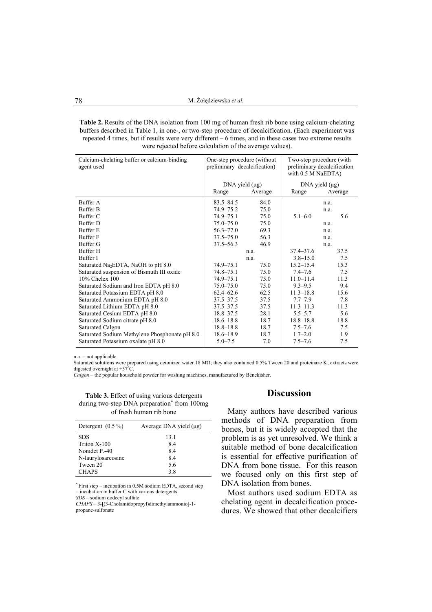**Table 2.** Results of the DNA isolation from 100 mg of human fresh rib bone using calcium-chelating buffers described in Table 1, in one-, or two-step procedure of decalcification. (Each experiment was repeated 4 times, but if results were very different – 6 times, and in these cases two extreme results were rejected before calculation of the average values).

| Calcium-chelating buffer or calcium-binding<br>agent used | One-step procedure (without)<br>preliminary decalcification) |         | with 0.5 M NaEDTA)  | Two-step procedure (with<br>preliminary decalcification |
|-----------------------------------------------------------|--------------------------------------------------------------|---------|---------------------|---------------------------------------------------------|
|                                                           | DNA yield $(\mu g)$                                          |         | DNA yield $(\mu g)$ |                                                         |
|                                                           | Range                                                        | Average | Range               | Average                                                 |
| Buffer A                                                  | $83.5 - 84.5$                                                | 84.0    |                     | n.a.                                                    |
| <b>Buffer B</b>                                           | 74.9–75.2                                                    | 75.0    |                     | n.a.                                                    |
| Buffer C                                                  | 74.9-75.1                                                    | 75.0    | $5.1 - 6.0$         | 5.6                                                     |
| Buffer D                                                  | $75.0 - 75.0$                                                | 75.0    |                     | n.a.                                                    |
| <b>Buffer</b> E                                           | $56.3 - 77.0$                                                | 69.3    |                     | n.a.                                                    |
| <b>Buffer</b> F                                           | $37.5 - 75.0$                                                | 56.3    |                     | n.a.                                                    |
| Buffer G                                                  | $37.5 - 56.3$                                                | 46.9    |                     | n.a.                                                    |
| <b>Buffer H</b>                                           |                                                              | n.a.    | $37.4 - 37.6$       | 37.5                                                    |
| Buffer I                                                  |                                                              | n.a.    | $3.8 - 15.0$        | 7.5                                                     |
| Saturated Na <sub>2</sub> EDTA, NaOH to pH $8.0$          | 74.9–75.1                                                    | 75.0    | $15.2 - 15.4$       | 15.3                                                    |
| Saturated suspension of Bismuth III oxide                 | $74.8 - 75.1$                                                | 75.0    | $7.4 - 7.6$         | 7.5                                                     |
| 10% Chelex 100                                            | 74.9–75.1                                                    | 75.0    | $11.0 - 11.4$       | 11.3                                                    |
| Saturated Sodium and Iron EDTA pH 8.0                     | $75.0 - 75.0$                                                | 75.0    | $9.3 - 9.5$         | 9.4                                                     |
| Saturated Potassium EDTA pH 8.0                           | $62.4 - 62.6$                                                | 62.5    | $11.3 - 18.8$       | 15.6                                                    |
| Saturated Ammonium EDTA pH 8.0                            | $37.5 - 37.5$                                                | 37.5    | $7.7 - 7.9$         | 7.8                                                     |
| Saturated Lithium EDTA pH 8.0                             | $37.5 - 37.5$                                                | 37.5    | $11.3 - 11.3$       | 11.3                                                    |
| Saturated Cesium EDTA pH 8.0                              | 18.8–37.5                                                    | 28.1    | $5.5 - 5.7$         | 5.6                                                     |
| Saturated Sodium citrate pH 8.0                           | $18.6 - 18.8$                                                | 18.7    | $18.8 - 18.8$       | 18.8                                                    |
| Saturated Calgon                                          | $18.8 - 18.8$                                                | 18.7    | $7.5 - 7.6$         | 7.5                                                     |
| Saturated Sodium Methylene Phosphonate pH 8.0             | 18.6–18.9                                                    | 18.7    | $1.7 - 2.0$         | 1.9                                                     |
| Saturated Potassium oxalate pH 8.0                        | $5.0 - 7.5$                                                  | 7.0     | $7.5 - 7.6$         | 7.5                                                     |

n.a. – not applicable.

Saturated solutions were prepared using deionized water 18 MΏ; they also contained 0.5% Tween 20 and proteinaze K; extracts were digested overnight at  $+37^{\circ}$ C.

*Calgon* – the popular household powder for washing machines, manufactured by Benckisher.

**Table 3.** Effect of using various detergents during two-step DNA preparation\* from 100mg of fresh human rib bone

| Detergent $(0.5\%)$      | Average DNA yield $(\mu g)$ |
|--------------------------|-----------------------------|
| <b>SDS</b>               | 13.1                        |
| Triton X-100             | 84                          |
| Nonidet P <sub>-40</sub> | 84                          |
| N-laurylosarcosine       | 84                          |
| Tween 20                 | 5.6                         |
| <b>CHAPS</b>             | 38                          |

\* First step – incubation in 0.5M sodium EDTA, second step – incubation in buffer C with various detergents.

*SDS* – sodium dodecyl sulfate

*CHAPS* – 3-[(3-Cholamidopropyl)dimethylammonio]-1 propane-sulfonate

#### **Discussion**

Many authors have described various methods of DNA preparation from bones, but it is widely accepted that the problem is as yet unresolved. We think a suitable method of bone decalcification is essential for effective purification of DNA from bone tissue. For this reason we focused only on this first step of DNA isolation from bones.

Most authors used sodium EDTA as chelating agent in decalcification procedures. We showed that other decalcifiers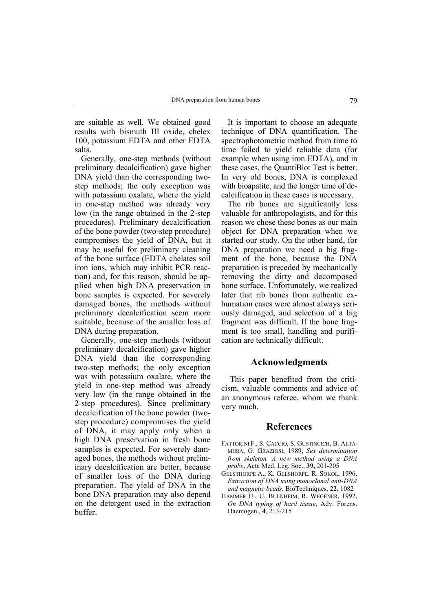are suitable as well. We obtained good results with bismuth III oxide, chelex 100, potassium EDTA and other EDTA salts.

Generally, one-step methods (without preliminary decalcification) gave higher DNA yield than the corresponding twostep methods; the only exception was with potassium oxalate, where the yield in one-step method was already very low (in the range obtained in the 2-step procedures). Preliminary decalcification of the bone powder (two-step procedure) compromises the yield of DNA, but it may be useful for preliminary cleaning of the bone surface (EDTA chelates soil iron ions, which may inhibit PCR reaction) and, for this reason, should be applied when high DNA preservation in bone samples is expected. For severely damaged bones, the methods without preliminary decalcification seem more suitable, because of the smaller loss of DNA during preparation.

Generally, one-step methods (without preliminary decalcification) gave higher DNA yield than the corresponding two-step methods; the only exception was with potassium oxalate, where the yield in one-step method was already very low (in the range obtained in the 2-step procedures). Since preliminary decalcification of the bone powder (twostep procedure) compromises the yield of DNA, it may apply only when a high DNA preservation in fresh bone samples is expected. For severely damaged bones, the methods without preliminary decalcification are better, because of smaller loss of the DNA during preparation. The yield of DNA in the bone DNA preparation may also depend on the detergent used in the extraction buffer.

It is important to choose an adequate technique of DNA quantification. The spectrophotometric method from time to time failed to yield reliable data (for example when using iron EDTA), and in these cases, the QuantiBlot Test is better. In very old bones, DNA is complexed with bioapatite, and the longer time of decalcification in these cases is necessary.

The rib bones are significantly less valuable for anthropologists, and for this reason we chose these bones as our main object for DNA preparation when we started our study. On the other hand, for DNA preparation we need a big fragment of the bone, because the DNA preparation is preceded by mechanically removing the dirty and decomposed bone surface. Unfortunately, we realized later that rib bones from authentic exhumation cases were almost always seriously damaged, and selection of a big fragment was difficult. If the bone fragment is too small, handling and purification are technically difficult.

#### **Acknowledgments**

 This paper benefited from the criticism, valuable comments and advice of an anonymous referee, whom we thank very much.

#### **References**

- FATTORINI F., S. CACCIO, S. GUSTINCICH, B. ALTA-MURA, G. GRAZIOSI, 1989, *Sex determination from skeleton. A new method using a DNA probe*, Acta Med. Leg. Soc., **39,** 201-205
- GELSTHORPE A., K. GELSHORPE, R. SOKOL, 1996, *Extraction of DNA using monoclonal anti-DNA and magnetic beads*, BioTechniques, **22**, 1082
- HAMMER U., U. BULNHEIM, R. WEGENER, 1992, *On DNA typing of hard tissue*, Adv. Forens. Haemogen., **4**, 213-215